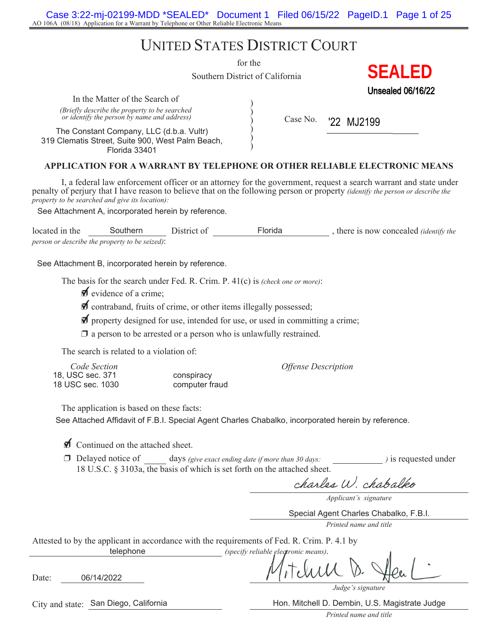AO 106A (08/18) Application for a Warrant by Telephone or Other Reliable Electronic Means Case 3:22-mj-02199-MDD \*SEALED\* Document 1 Filed 06/15/22 PageID.1 Page 1 of 25

# UNITED STATES DISTRICT COURT

for the

) ) ) ) )

Southern District of California

Unsealed 06/16/22

**SEALED**

In the Matter of the Search of *(Briefly describe the property to be searched or identify the person by name and address)*  $\left\{ \begin{array}{c} \sim \end{array} \right\}$  Case No.

The Constant Company, LLC (d.b.a. Vultr) 319 Clematis Street, Suite 900, West Palm Beach, Florida 33401

'22 MJ2199

#### **APPLICATION FOR A WARRANT BY TELEPHONE OR OTHER RELIABLE ELECTRONIC MEANS**

I, a federal law enforcement officer or an attorney for the government, request a search warrant and state under penalty of perjury that I have reason to believe that on the following person or property *(identify the person or describe the property to be searched and give its location):* Southern District of California<br>
of<br>
orched<br>
orchess)<br>
b.a. Vultr<br>
Palm Beach,<br>
NT BY TELEPHONE OR OTHER<br>
icer or an attorney for the government<br>
believe that on the following person on<br>
n by reference.<br>
District of Florid

See Attachment A, incorporated herein by reference.

located in the Southern District of Florida , there is now concealed *(identify the* proceeding) *person or describe the property to be seized)*:

See Attachment B, incorporated herein by reference.

The basis for the search under Fed. R. Crim. P. 41(c) is *(check one or more)*:

 $\blacksquare$  evidence of a crime;

 $\blacklozenge$  contraband, fruits of crime, or other items illegally possessed;

 $\blacktriangledown$  property designed for use, intended for use, or used in committing a crime;

 $\Box$  a person to be arrested or a person who is unlawfully restrained.

The search is related to a violation of:

| Code Section     |                | <b>Offense Description</b> |
|------------------|----------------|----------------------------|
| 18. USC sec. 371 | conspiracy     |                            |
| 18 USC sec. 1030 | computer fraud |                            |

The application is based on these facts:

See Attached Affidavit of F.B.I. Special Agent Charles Chabalko, incorporated herein by reference.

 $\triangle$  Continued on the attached sheet.

u Delayed notice of days *(give exact ending date if more than 30 days: )* is requested under 18 U.S.C. § 3103a, the basis of which is set forth on the attached sheet.

charles W. chabalko

*Applicant's signature*

Special Agent Charles Chabalko, F.B.I.

*Printed name and title*

Attested to by the applicant in accordance with the requirements of Fed. R. Crim. P. 4.1 by *(specify reliable electronic means)*. telephone

Date: 06/14/2022

*Judge's signature*

Hon. Mitchell D. Dembin, U.S. Magistrate Judge

*Printed name and title*

City and state: San Diego, California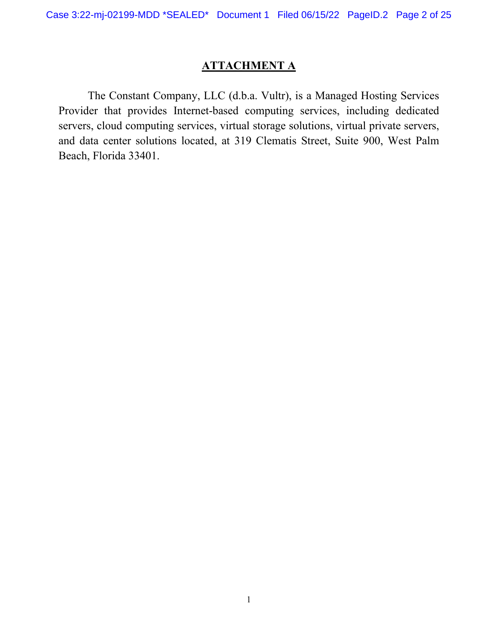# **ATTACHMENT A**

The Constant Company, LLC (d.b.a. Vultr), is a Managed Hosting Services Provider that provides Internet-based computing services, including dedicated servers, cloud computing services, virtual storage solutions, virtual private servers, and data center solutions located, at 319 Clematis Street, Suite 900, West Palm Beach, Florida 33401.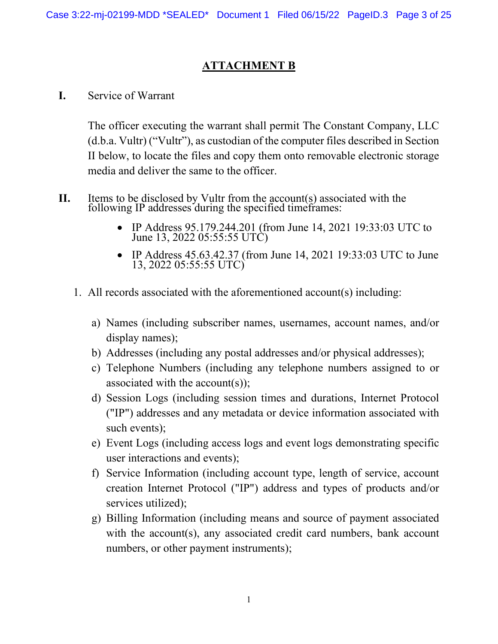## **ATTACHMENT B**

**I.** Service of Warrant

The officer executing the warrant shall permit The Constant Company, LLC (d.b.a. Vultr) ("Vultr"), as custodian of the computer files described in Section II below, to locate the files and copy them onto removable electronic storage media and deliver the same to the officer.

- **II.** Items to be disclosed by Vultr from the account(s) associated with the following IP addresses during the specified timeframes:
	- IP Address 95.179.244.201 (from June 14, 2021 19:33:03 UTC to June 13, 2022 05:55:55 UTC)
	- IP Address 45.63.42.37 (from June 14, 2021 19:33:03 UTC to June 13, 2022 05:55:55 UTC)
	- 1. All records associated with the aforementioned account(s) including:
		- a) Names (including subscriber names, usernames, account names, and/or display names);
		- b) Addresses (including any postal addresses and/or physical addresses);
		- c) Telephone Numbers (including any telephone numbers assigned to or associated with the account(s));
		- d) Session Logs (including session times and durations, Internet Protocol ("IP") addresses and any metadata or device information associated with such events);
		- e) Event Logs (including access logs and event logs demonstrating specific user interactions and events);
		- f) Service Information (including account type, length of service, account creation Internet Protocol ("IP") address and types of products and/or services utilized);
		- g) Billing Information (including means and source of payment associated with the account(s), any associated credit card numbers, bank account numbers, or other payment instruments);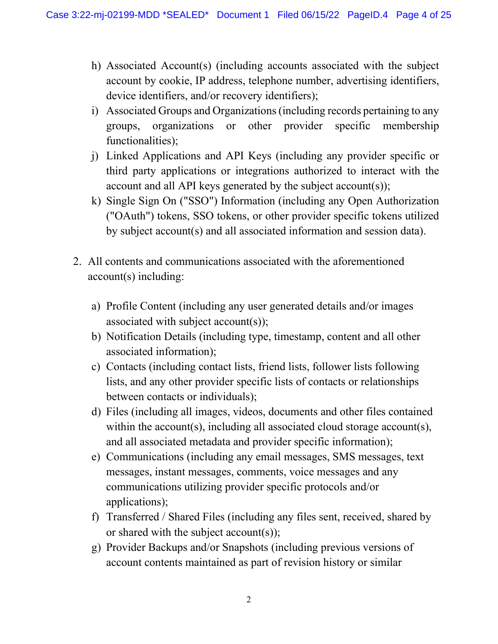- h) Associated Account(s) (including accounts associated with the subject account by cookie, IP address, telephone number, advertising identifiers, device identifiers, and/or recovery identifiers);
- i) Associated Groups and Organizations (including records pertaining to any groups, organizations or other provider specific membership functionalities);
- j) Linked Applications and API Keys (including any provider specific or third party applications or integrations authorized to interact with the account and all API keys generated by the subject account(s));
- k) Single Sign On ("SSO") Information (including any Open Authorization ("OAuth") tokens, SSO tokens, or other provider specific tokens utilized by subject account(s) and all associated information and session data).
- 2. All contents and communications associated with the aforementioned account(s) including:
	- a) Profile Content (including any user generated details and/or images associated with subject account(s));
	- b) Notification Details (including type, timestamp, content and all other associated information);
	- c) Contacts (including contact lists, friend lists, follower lists following lists, and any other provider specific lists of contacts or relationships between contacts or individuals);
	- d) Files (including all images, videos, documents and other files contained within the account(s), including all associated cloud storage account(s), and all associated metadata and provider specific information);
	- e) Communications (including any email messages, SMS messages, text messages, instant messages, comments, voice messages and any communications utilizing provider specific protocols and/or applications);
	- f) Transferred / Shared Files (including any files sent, received, shared by or shared with the subject account(s));
	- g) Provider Backups and/or Snapshots (including previous versions of account contents maintained as part of revision history or similar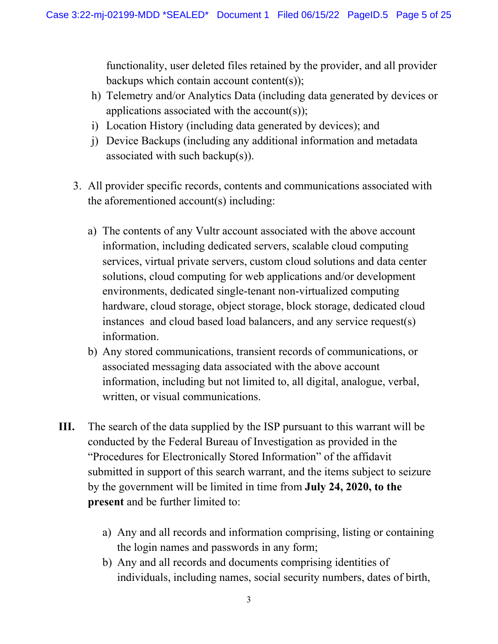functionality, user deleted files retained by the provider, and all provider backups which contain account content(s));

- h) Telemetry and/or Analytics Data (including data generated by devices or applications associated with the account(s));
- i) Location History (including data generated by devices); and
- j) Device Backups (including any additional information and metadata associated with such backup(s)).
- 3. All provider specific records, contents and communications associated with the aforementioned account(s) including:
	- a) The contents of any Vultr account associated with the above account information, including dedicated servers, scalable cloud computing services, virtual private servers, custom cloud solutions and data center solutions, cloud computing for web applications and/or development environments, dedicated single-tenant non-virtualized computing hardware, cloud storage, object storage, block storage, dedicated cloud instances and cloud based load balancers, and any service request(s) information.
	- b) Any stored communications, transient records of communications, or associated messaging data associated with the above account information, including but not limited to, all digital, analogue, verbal, written, or visual communications.
- **III.** The search of the data supplied by the ISP pursuant to this warrant will be conducted by the Federal Bureau of Investigation as provided in the "Procedures for Electronically Stored Information" of the affidavit submitted in support of this search warrant, and the items subject to seizure by the government will be limited in time from **July 24, 2020, to the present** and be further limited to:
	- a) Any and all records and information comprising, listing or containing the login names and passwords in any form;
	- b) Any and all records and documents comprising identities of individuals, including names, social security numbers, dates of birth,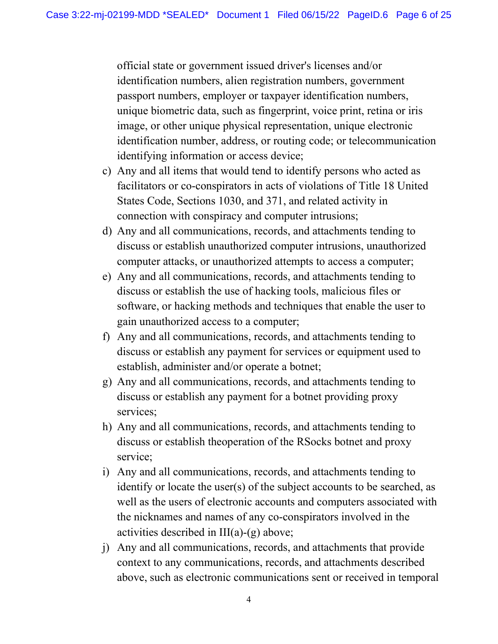official state or government issued driver's licenses and/or identification numbers, alien registration numbers, government passport numbers, employer or taxpayer identification numbers, unique biometric data, such as fingerprint, voice print, retina or iris image, or other unique physical representation, unique electronic identification number, address, or routing code; or telecommunication identifying information or access device;

- c) Any and all items that would tend to identify persons who acted as facilitators or co-conspirators in acts of violations of Title 18 United States Code, Sections 1030, and 371, and related activity in connection with conspiracy and computer intrusions;
- d) Any and all communications, records, and attachments tending to discuss or establish unauthorized computer intrusions, unauthorized computer attacks, or unauthorized attempts to access a computer;
- e) Any and all communications, records, and attachments tending to discuss or establish the use of hacking tools, malicious files or software, or hacking methods and techniques that enable the user to gain unauthorized access to a computer;
- f) Any and all communications, records, and attachments tending to discuss or establish any payment for services or equipment used to establish, administer and/or operate a botnet;
- g) Any and all communications, records, and attachments tending to discuss or establish any payment for a botnet providing proxy services;
- h) Any and all communications, records, and attachments tending to discuss or establish theoperation of the RSocks botnet and proxy service;
- i) Any and all communications, records, and attachments tending to identify or locate the user(s) of the subject accounts to be searched, as well as the users of electronic accounts and computers associated with the nicknames and names of any co-conspirators involved in the activities described in  $III(a)-(g)$  above;
- j) Any and all communications, records, and attachments that provide context to any communications, records, and attachments described above, such as electronic communications sent or received in temporal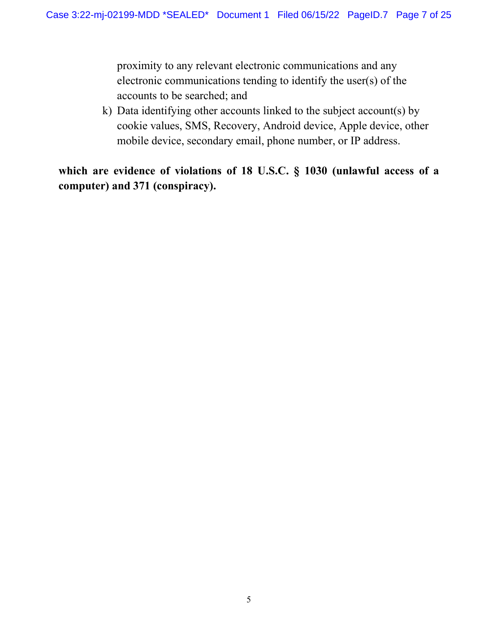proximity to any relevant electronic communications and any electronic communications tending to identify the user(s) of the accounts to be searched; and

k) Data identifying other accounts linked to the subject account(s) by cookie values, SMS, Recovery, Android device, Apple device, other mobile device, secondary email, phone number, or IP address.

**which are evidence of violations of 18 U.S.C. § 1030 (unlawful access of a computer) and 371 (conspiracy).**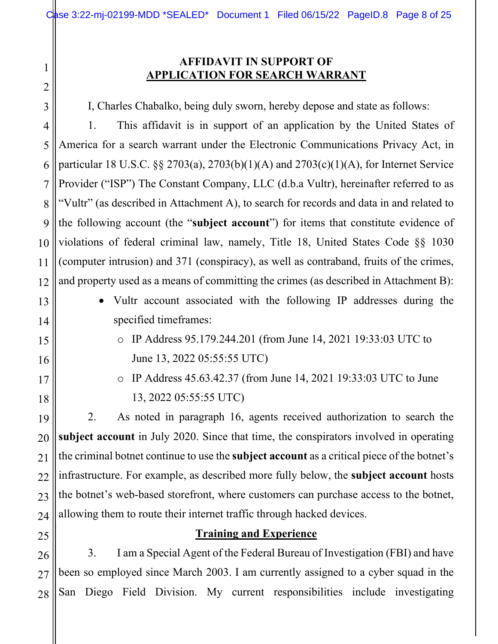# **AFFIDAVIT IN SUPPORT OF APPLICATION FOR SEARCH WARRANT**

I, Charles Chabalko, being duly sworn, hereby depose and state as follows:

1. This affidavit is in support of an application by the United States of America for a search warrant under the Electronic Communications Privacy Act, in particular 18 U.S.C. §§ 2703(a), 2703(b)(1)(A) and 2703(c)(1)(A), for Internet Service Provider ("ISP") The Constant Company, LLC (d.b.a Vultr), hereinafter referred to as "Vultr" (as described in Attachment A), to search for records and data in and related to the following account (the "**subject account**") for items that constitute evidence of violations of federal criminal law, namely, Title 18, United States Code §§ 1030 (computer intrusion) and 371 (conspiracy), as well as contraband, fruits of the crimes, and property used as a means of committing the crimes (as described in Attachment B):

- Vultr account associated with the following IP addresses during the specified timeframes:
	- o IP Address 95.179.244.201 (from June 14, 2021 19:33:03 UTC to June 13, 2022 05:55:55 UTC)
	- o IP Address 45.63.42.37 (from June 14, 2021 19:33:03 UTC to June 13, 2022 05:55:55 UTC)

2. As noted in paragraph 16, agents received authorization to search the **subject account** in July 2020. Since that time, the conspirators involved in operating the criminal botnet continue to use the **subject account** as a critical piece of the botnet's infrastructure. For example, as described more fully below, the **subject account** hosts the botnet's web-based storefront, where customers can purchase access to the botnet, allowing them to route their internet traffic through hacked devices.

# **Training and Experience**

3. I am a Special Agent of the Federal Bureau of Investigation (FBI) and have been so employed since March 2003. I am currently assigned to a cyber squad in the San Diego Field Division. My current responsibilities include investigating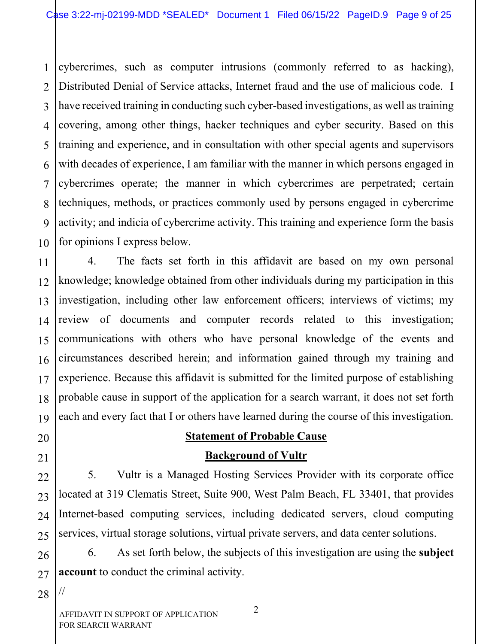1 2 3 4 5 6 7 8 9 10 cybercrimes, such as computer intrusions (commonly referred to as hacking), Distributed Denial of Service attacks, Internet fraud and the use of malicious code. I have received training in conducting such cyber-based investigations, as well as training covering, among other things, hacker techniques and cyber security. Based on this training and experience, and in consultation with other special agents and supervisors with decades of experience, I am familiar with the manner in which persons engaged in cybercrimes operate; the manner in which cybercrimes are perpetrated; certain techniques, methods, or practices commonly used by persons engaged in cybercrime activity; and indicia of cybercrime activity. This training and experience form the basis for opinions I express below.

11 12 13 14 15 16 17 18 19 4. The facts set forth in this affidavit are based on my own personal knowledge; knowledge obtained from other individuals during my participation in this investigation, including other law enforcement officers; interviews of victims; my review of documents and computer records related to this investigation; communications with others who have personal knowledge of the events and circumstances described herein; and information gained through my training and experience. Because this affidavit is submitted for the limited purpose of establishing probable cause in support of the application for a search warrant, it does not set forth each and every fact that I or others have learned during the course of this investigation.

# 20

21

22

23

24

25

# **Statement of Probable Cause**

# **Background of Vultr**

5. Vultr is a Managed Hosting Services Provider with its corporate office located at 319 Clematis Street, Suite 900, West Palm Beach, FL 33401, that provides Internet-based computing services, including dedicated servers, cloud computing services, virtual storage solutions, virtual private servers, and data center solutions.

26 27 6. As set forth below, the subjects of this investigation are using the **subject account** to conduct the criminal activity.

28

//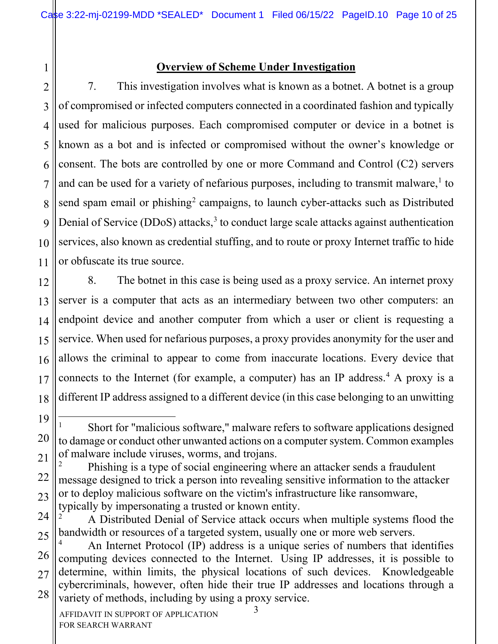1 2

3

4

5

6

7

8

9

10

11

# **Overview of Scheme Under Investigation**

7. This investigation involves what is known as a botnet. A botnet is a group of compromised or infected computers connected in a coordinated fashion and typically used for malicious purposes. Each compromised computer or device in a botnet is known as a bot and is infected or compromised without the owner's knowledge or consent. The bots are controlled by one or more Command and Control (C2) servers and can be used for a variety of nefarious purposes, including to transmit malware,<sup>1</sup> to send spam email or phishing<sup>2</sup> campaigns, to launch cyber-attacks such as Distributed Denial of Service (DDoS) attacks,<sup>3</sup> to conduct large scale attacks against authentication services, also known as credential stuffing, and to route or proxy Internet traffic to hide or obfuscate its true source.

12 13 14 15 16 17 18 8. The botnet in this case is being used as a proxy service. An internet proxy server is a computer that acts as an intermediary between two other computers: an endpoint device and another computer from which a user or client is requesting a service. When used for nefarious purposes, a proxy provides anonymity for the user and allows the criminal to appear to come from inaccurate locations. Every device that connects to the Internet (for example, a computer) has an IP address.<sup>4</sup> A proxy is a different IP address assigned to a different device (in this case belonging to an unwitting

24 25 <sup>2</sup> A Distributed Denial of Service attack occurs when multiple systems flood the bandwidth or resources of a targeted system, usually one or more web servers.

<sup>19</sup> 20 21 <sup>1</sup> Short for "malicious software," malware refers to software applications designed to damage or conduct other unwanted actions on a computer system. Common examples of malware include viruses, worms, and trojans.

<sup>22</sup> 23 <sup>2</sup> Phishing is a type of social engineering where an attacker sends a fraudulent message designed to trick a person into revealing sensitive information to the attacker or to deploy malicious software on the victim's infrastructure like ransomware, typically by impersonating a trusted or known entity.

<sup>26</sup> 27 28 <sup>4</sup> An Internet Protocol (IP) address is a unique series of numbers that identifies computing devices connected to the Internet. Using IP addresses, it is possible to determine, within limits, the physical locations of such devices. Knowledgeable cybercriminals, however, often hide their true IP addresses and locations through a variety of methods, including by using a proxy service.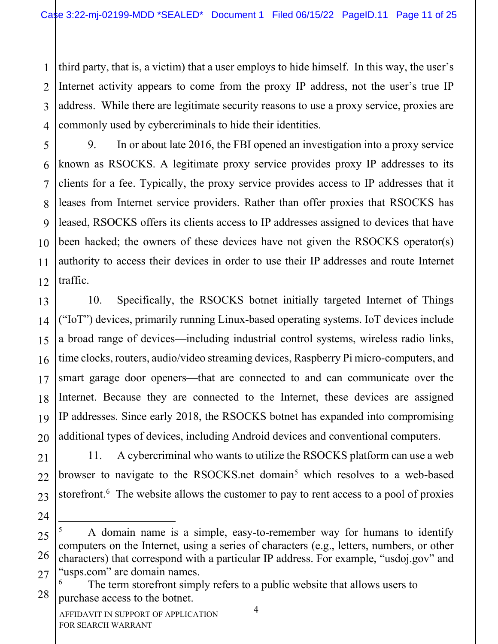1 2 3 4 third party, that is, a victim) that a user employs to hide himself. In this way, the user's Internet activity appears to come from the proxy IP address, not the user's true IP address. While there are legitimate security reasons to use a proxy service, proxies are commonly used by cybercriminals to hide their identities.

9. In or about late 2016, the FBI opened an investigation into a proxy service known as RSOCKS. A legitimate proxy service provides proxy IP addresses to its clients for a fee. Typically, the proxy service provides access to IP addresses that it leases from Internet service providers. Rather than offer proxies that RSOCKS has leased, RSOCKS offers its clients access to IP addresses assigned to devices that have been hacked; the owners of these devices have not given the RSOCKS operator(s) authority to access their devices in order to use their IP addresses and route Internet traffic.

13 14 15 16 17 18 19 20 10. Specifically, the RSOCKS botnet initially targeted Internet of Things ("IoT") devices, primarily running Linux-based operating systems. IoT devices include a broad range of devices—including industrial control systems, wireless radio links, time clocks, routers, audio/video streaming devices, Raspberry Pi micro-computers, and smart garage door openers—that are connected to and can communicate over the Internet. Because they are connected to the Internet, these devices are assigned IP addresses. Since early 2018, the RSOCKS botnet has expanded into compromising additional types of devices, including Android devices and conventional computers.

11. A cybercriminal who wants to utilize the RSOCKS platform can use a web browser to navigate to the RSOCKS.net domain<sup>5</sup> which resolves to a web-based storefront.<sup>6</sup> The website allows the customer to pay to rent access to a pool of proxies

5

6

7

8

9

10

11

12

21

22

23

<sup>25</sup> 26 27 <sup>5</sup> A domain name is a simple, easy-to-remember way for humans to identify computers on the Internet, using a series of characters (e.g., letters, numbers, or other characters) that correspond with a particular IP address. For example, "usdoj.gov" and "usps.com" are domain names.

<sup>28</sup> The term storefront simply refers to a public website that allows users to purchase access to the botnet.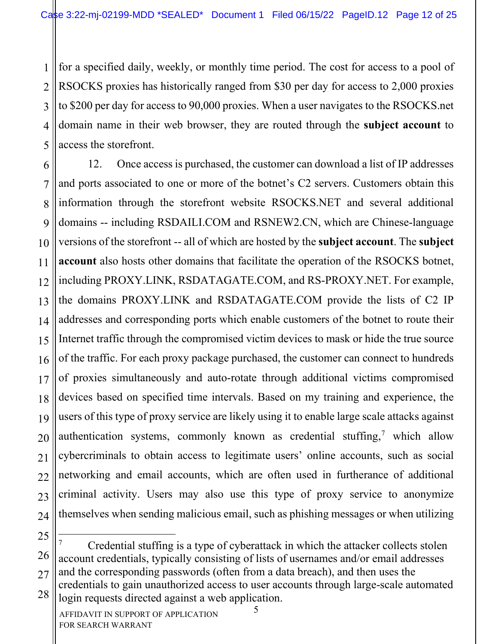1 2 3 4 5 for a specified daily, weekly, or monthly time period. The cost for access to a pool of RSOCKS proxies has historically ranged from \$30 per day for access to 2,000 proxies to \$200 per day for access to 90,000 proxies. When a user navigates to the RSOCKS.net domain name in their web browser, they are routed through the **subject account** to access the storefront.

6 7 8 9 10 11 12 13 14 15 16 17 18 19 20 21 22 23 24 12. Once access is purchased, the customer can download a list of IP addresses and ports associated to one or more of the botnet's C2 servers. Customers obtain this information through the storefront website RSOCKS.NET and several additional domains -- including RSDAILI.COM and RSNEW2.CN, which are Chinese-language versions of the storefront -- all of which are hosted by the **subject account**. The **subject account** also hosts other domains that facilitate the operation of the RSOCKS botnet, including PROXY.LINK, RSDATAGATE.COM, and RS-PROXY.NET. For example, the domains PROXY.LINK and RSDATAGATE.COM provide the lists of C2 IP addresses and corresponding ports which enable customers of the botnet to route their Internet traffic through the compromised victim devices to mask or hide the true source of the traffic. For each proxy package purchased, the customer can connect to hundreds of proxies simultaneously and auto-rotate through additional victims compromised devices based on specified time intervals. Based on my training and experience, the users of this type of proxy service are likely using it to enable large scale attacks against authentication systems, commonly known as credential stuffing, <sup>7</sup> which allow cybercriminals to obtain access to legitimate users' online accounts, such as social networking and email accounts, which are often used in furtherance of additional criminal activity. Users may also use this type of proxy service to anonymize themselves when sending malicious email, such as phishing messages or when utilizing

<sup>27</sup> 28 <sup>7</sup> Credential stuffing is a type of cyberattack in which the attacker collects stolen account credentials, typically consisting of lists of usernames and/or email addresses and the corresponding passwords (often from a data breach), and then uses the credentials to gain unauthorized access to user accounts through large-scale automated login requests directed against a web application.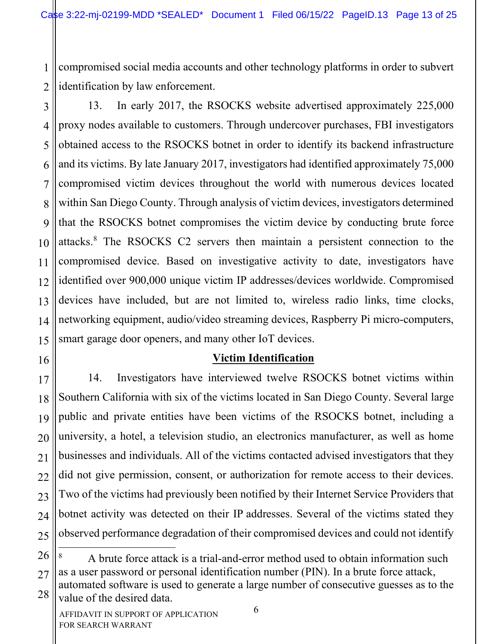1 2 compromised social media accounts and other technology platforms in order to subvert identification by law enforcement.

3 4 5 6 7 8 9 10 11 12 13 14 15 13. In early 2017, the RSOCKS website advertised approximately 225,000 proxy nodes available to customers. Through undercover purchases, FBI investigators obtained access to the RSOCKS botnet in order to identify its backend infrastructure and its victims. By late January 2017, investigators had identified approximately 75,000 compromised victim devices throughout the world with numerous devices located within San Diego County. Through analysis of victim devices, investigators determined that the RSOCKS botnet compromises the victim device by conducting brute force attacks.8 The RSOCKS C2 servers then maintain a persistent connection to the compromised device. Based on investigative activity to date, investigators have identified over 900,000 unique victim IP addresses/devices worldwide. Compromised devices have included, but are not limited to, wireless radio links, time clocks, networking equipment, audio/video streaming devices, Raspberry Pi micro-computers, smart garage door openers, and many other IoT devices.

16

17

18

19

20

21

22

23

24

### **Victim Identification**

14. Investigators have interviewed twelve RSOCKS botnet victims within Southern California with six of the victims located in San Diego County. Several large public and private entities have been victims of the RSOCKS botnet, including a university, a hotel, a television studio, an electronics manufacturer, as well as home businesses and individuals. All of the victims contacted advised investigators that they did not give permission, consent, or authorization for remote access to their devices. Two of the victims had previously been notified by their Internet Service Providers that botnet activity was detected on their IP addresses. Several of the victims stated they observed performance degradation of their compromised devices and could not identify

<sup>27</sup> 28 A brute force attack is a trial-and-error method used to obtain information such as a user password or personal identification number (PIN). In a brute force attack, automated software is used to generate a large number of consecutive guesses as to the value of the desired data.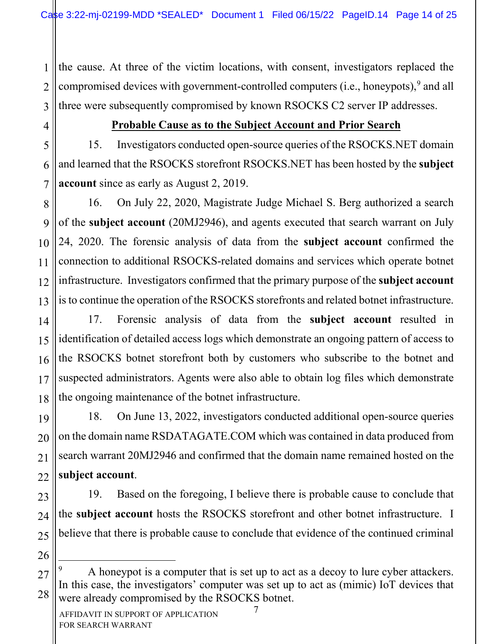1 2 3 the cause. At three of the victim locations, with consent, investigators replaced the compromised devices with government-controlled computers (i.e., honeypots),<sup>9</sup> and all three were subsequently compromised by known RSOCKS C2 server IP addresses.

4

23

24

25

26

#### **Probable Cause as to the Subject Account and Prior Search**

5 6 7 15. Investigators conducted open-source queries of the RSOCKS.NET domain and learned that the RSOCKS storefront RSOCKS.NET has been hosted by the **subject account** since as early as August 2, 2019.

8 9 10 11 12 13 16. On July 22, 2020, Magistrate Judge Michael S. Berg authorized a search of the **subject account** (20MJ2946), and agents executed that search warrant on July 24, 2020. The forensic analysis of data from the **subject account** confirmed the connection to additional RSOCKS-related domains and services which operate botnet infrastructure. Investigators confirmed that the primary purpose of the **subject account** is to continue the operation of the RSOCKS storefronts and related botnet infrastructure.

14 15 16 17 18 17. Forensic analysis of data from the **subject account** resulted in identification of detailed access logs which demonstrate an ongoing pattern of access to the RSOCKS botnet storefront both by customers who subscribe to the botnet and suspected administrators. Agents were also able to obtain log files which demonstrate the ongoing maintenance of the botnet infrastructure.

19 20 21 22 18. On June 13, 2022, investigators conducted additional open-source queries on the domain name RSDATAGATE.COM which was contained in data produced from search warrant 20MJ2946 and confirmed that the domain name remained hosted on the **subject account**.

19. Based on the foregoing, I believe there is probable cause to conclude that the **subject account** hosts the RSOCKS storefront and other botnet infrastructure. I believe that there is probable cause to conclude that evidence of the continued criminal

<sup>27</sup> 28 A honeypot is a computer that is set up to act as a decoy to lure cyber attackers. In this case, the investigators' computer was set up to act as (mimic) IoT devices that were already compromised by the RSOCKS botnet.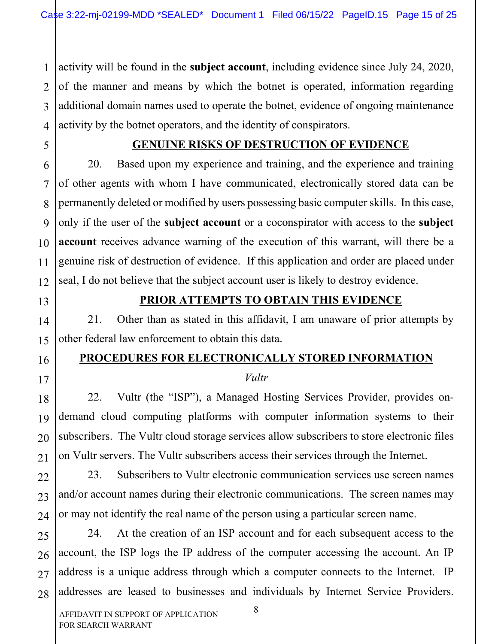1 2 3 4 activity will be found in the **subject account**, including evidence since July 24, 2020, of the manner and means by which the botnet is operated, information regarding additional domain names used to operate the botnet, evidence of ongoing maintenance activity by the botnet operators, and the identity of conspirators.

5

6

7

8

9

10

11

# **GENUINE RISKS OF DESTRUCTION OF EVIDENCE**

20. Based upon my experience and training, and the experience and training of other agents with whom I have communicated, electronically stored data can be permanently deleted or modified by users possessing basic computer skills. In this case, only if the user of the **subject account** or a coconspirator with access to the **subject account** receives advance warning of the execution of this warrant, will there be a genuine risk of destruction of evidence. If this application and order are placed under seal, I do not believe that the subject account user is likely to destroy evidence.

19

20

21

22

23

24

#### **PRIOR ATTEMPTS TO OBTAIN THIS EVIDENCE**

21. Other than as stated in this affidavit, I am unaware of prior attempts by other federal law enforcement to obtain this data.

### **PROCEDURES FOR ELECTRONICALLY STORED INFORMATION**

#### *Vultr*

22. Vultr (the "ISP"), a Managed Hosting Services Provider, provides ondemand cloud computing platforms with computer information systems to their subscribers. The Vultr cloud storage services allow subscribers to store electronic files on Vultr servers. The Vultr subscribers access their services through the Internet.

23. Subscribers to Vultr electronic communication services use screen names and/or account names during their electronic communications. The screen names may or may not identify the real name of the person using a particular screen name.

25 26 27 28 24. At the creation of an ISP account and for each subsequent access to the account, the ISP logs the IP address of the computer accessing the account. An IP address is a unique address through which a computer connects to the Internet. IP addresses are leased to businesses and individuals by Internet Service Providers.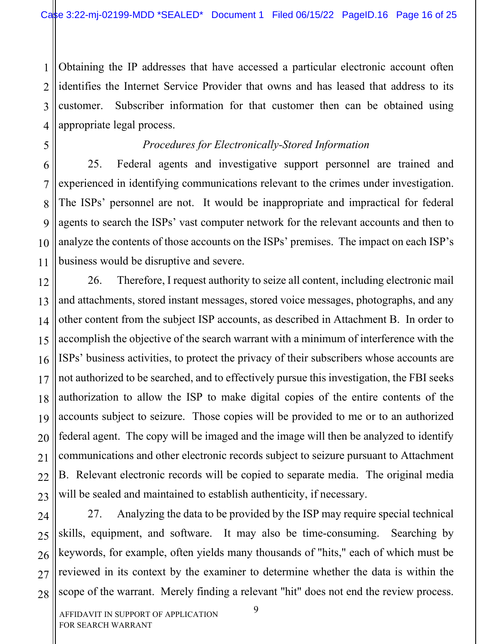1 2 3 4 Obtaining the IP addresses that have accessed a particular electronic account often identifies the Internet Service Provider that owns and has leased that address to its customer. Subscriber information for that customer then can be obtained using appropriate legal process.

# *Procedures for Electronically-Stored Information*

25. Federal agents and investigative support personnel are trained and experienced in identifying communications relevant to the crimes under investigation. The ISPs' personnel are not. It would be inappropriate and impractical for federal agents to search the ISPs' vast computer network for the relevant accounts and then to analyze the contents of those accounts on the ISPs' premises. The impact on each ISP's business would be disruptive and severe.

12 13 14 15 16 17 18 19 20 21 22 23 26. Therefore, I request authority to seize all content, including electronic mail and attachments, stored instant messages, stored voice messages, photographs, and any other content from the subject ISP accounts, as described in Attachment B. In order to accomplish the objective of the search warrant with a minimum of interference with the ISPs' business activities, to protect the privacy of their subscribers whose accounts are not authorized to be searched, and to effectively pursue this investigation, the FBI seeks authorization to allow the ISP to make digital copies of the entire contents of the accounts subject to seizure. Those copies will be provided to me or to an authorized federal agent. The copy will be imaged and the image will then be analyzed to identify communications and other electronic records subject to seizure pursuant to Attachment B. Relevant electronic records will be copied to separate media. The original media will be sealed and maintained to establish authenticity, if necessary.

24 25 26 27 28 27. Analyzing the data to be provided by the ISP may require special technical skills, equipment, and software. It may also be time-consuming. Searching by keywords, for example, often yields many thousands of "hits," each of which must be reviewed in its context by the examiner to determine whether the data is within the scope of the warrant. Merely finding a relevant "hit" does not end the review process.

5

6

7

8

9

10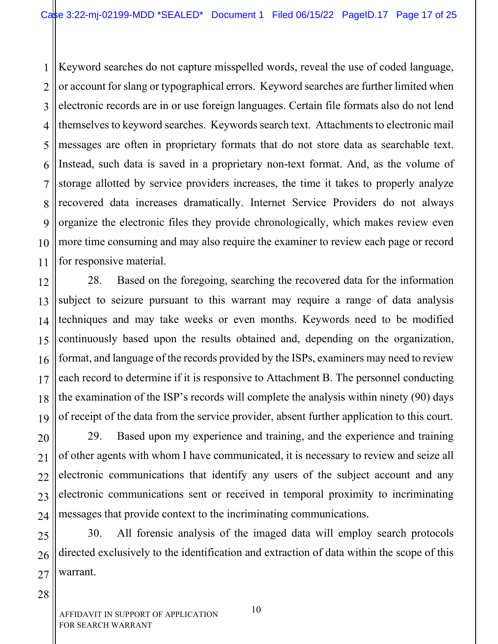1 2 3 4 5 6 7 8 9 10 11 Keyword searches do not capture misspelled words, reveal the use of coded language, or account for slang or typographical errors. Keyword searches are further limited when electronic records are in or use foreign languages. Certain file formats also do not lend themselves to keyword searches. Keywords search text. Attachments to electronic mail messages are often in proprietary formats that do not store data as searchable text. Instead, such data is saved in a proprietary non-text format. And, as the volume of storage allotted by service providers increases, the time it takes to properly analyze recovered data increases dramatically. Internet Service Providers do not always organize the electronic files they provide chronologically, which makes review even more time consuming and may also require the examiner to review each page or record for responsive material.

12 13 14 15 16 17 18 19 28. Based on the foregoing, searching the recovered data for the information subject to seizure pursuant to this warrant may require a range of data analysis techniques and may take weeks or even months. Keywords need to be modified continuously based upon the results obtained and, depending on the organization, format, and language of the records provided by the ISPs, examiners may need to review each record to determine if it is responsive to Attachment B. The personnel conducting the examination of the ISP's records will complete the analysis within ninety (90) days of receipt of the data from the service provider, absent further application to this court.

20 21 22 23 24 29. Based upon my experience and training, and the experience and training of other agents with whom I have communicated, it is necessary to review and seize all electronic communications that identify any users of the subject account and any electronic communications sent or received in temporal proximity to incriminating messages that provide context to the incriminating communications.

25 26 27 30. All forensic analysis of the imaged data will employ search protocols directed exclusively to the identification and extraction of data within the scope of this warrant.

28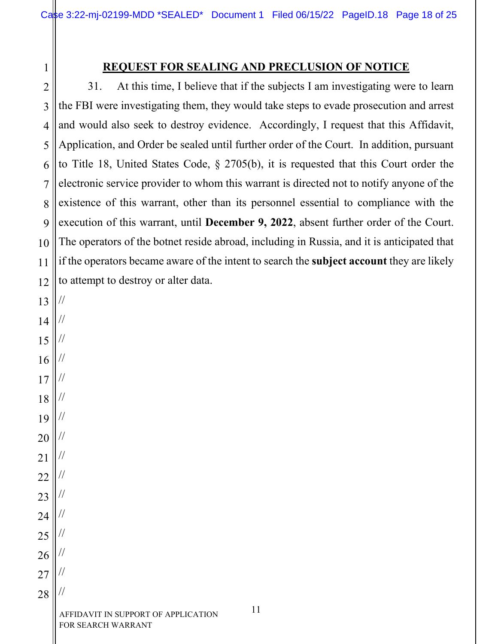### **REQUEST FOR SEALING AND PRECLUSION OF NOTICE**

2 3 4 5 6 7 8 9 10 11 12 31. At this time, I believe that if the subjects I am investigating were to learn the FBI were investigating them, they would take steps to evade prosecution and arrest and would also seek to destroy evidence. Accordingly, I request that this Affidavit, Application, and Order be sealed until further order of the Court. In addition, pursuant to Title 18, United States Code, § 2705(b), it is requested that this Court order the electronic service provider to whom this warrant is directed not to notify anyone of the existence of this warrant, other than its personnel essential to compliance with the execution of this warrant, until **December 9, 2022**, absent further order of the Court. The operators of the botnet reside abroad, including in Russia, and it is anticipated that if the operators became aware of the intent to search the **subject account** they are likely to attempt to destroy or alter data.

13 14 15 16 17 18 19 20 21 22 23 24 25 26 27 // // // // // // // // // // // // // // // //

28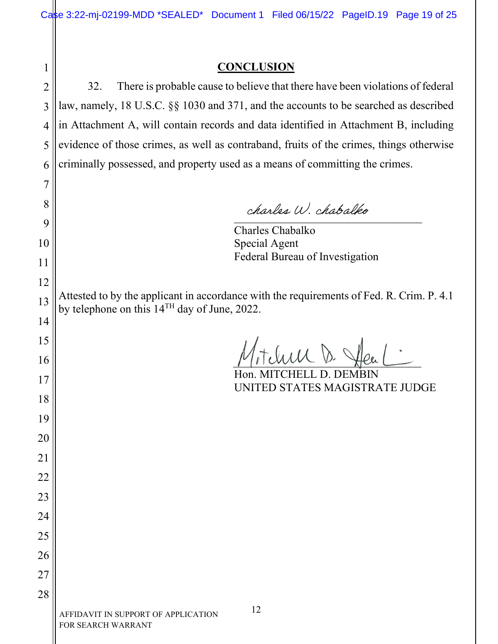# 

#### **CONCLUSION**

32. There is probable cause to believe that there have been violations of federal law, namely, 18 U.S.C. §§ 1030 and 371, and the accounts to be searched as described in Attachment A, will contain records and data identified in Attachment B, including evidence of those crimes, as well as contraband, fruits of the crimes, things otherwise criminally possessed, and property used as a means of committing the crimes.

aucule V. Charles and

 Charles Chabalko Special Agent Federal Bureau of Investigation

Attested to by the applicant in accordance with the requirements of Fed. R. Crim. P. 4.1 by telephone on this 14TH day of June, 2022.

 $\tau_t$ luu D.

 Hon. MITCHELL D. DEMBIN UNITED STATES MAGISTRATE JUDGE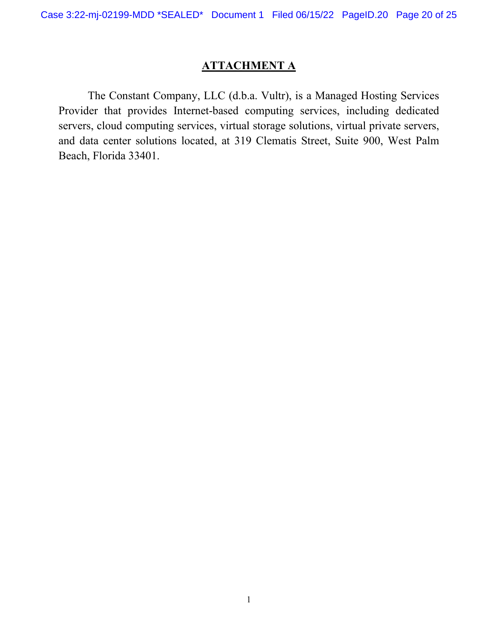# **ATTACHMENT A**

The Constant Company, LLC (d.b.a. Vultr), is a Managed Hosting Services Provider that provides Internet-based computing services, including dedicated servers, cloud computing services, virtual storage solutions, virtual private servers, and data center solutions located, at 319 Clematis Street, Suite 900, West Palm Beach, Florida 33401.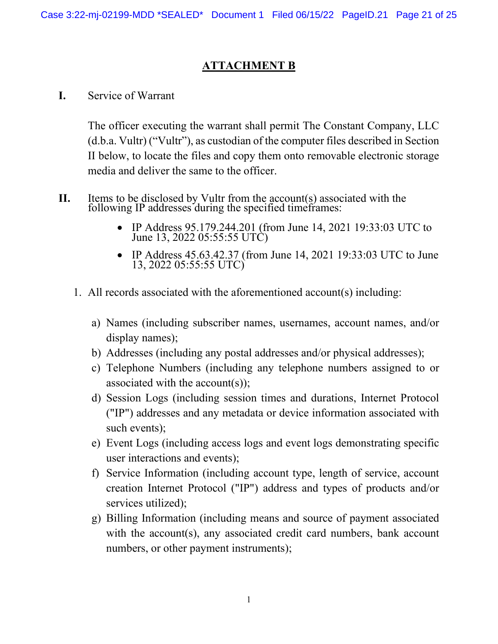# **ATTACHMENT B**

**I.** Service of Warrant

The officer executing the warrant shall permit The Constant Company, LLC (d.b.a. Vultr) ("Vultr"), as custodian of the computer files described in Section II below, to locate the files and copy them onto removable electronic storage media and deliver the same to the officer.

- **II.** Items to be disclosed by Vultr from the account(s) associated with the following IP addresses during the specified timeframes:
	- IP Address 95.179.244.201 (from June 14, 2021 19:33:03 UTC to June 13, 2022 05:55:55 UTC)
	- IP Address 45.63.42.37 (from June 14, 2021 19:33:03 UTC to June 13, 2022 05:55:55 UTC)
	- 1. All records associated with the aforementioned account(s) including:
		- a) Names (including subscriber names, usernames, account names, and/or display names);
		- b) Addresses (including any postal addresses and/or physical addresses);
		- c) Telephone Numbers (including any telephone numbers assigned to or associated with the account(s));
		- d) Session Logs (including session times and durations, Internet Protocol ("IP") addresses and any metadata or device information associated with such events);
		- e) Event Logs (including access logs and event logs demonstrating specific user interactions and events);
		- f) Service Information (including account type, length of service, account creation Internet Protocol ("IP") address and types of products and/or services utilized);
		- g) Billing Information (including means and source of payment associated with the account(s), any associated credit card numbers, bank account numbers, or other payment instruments);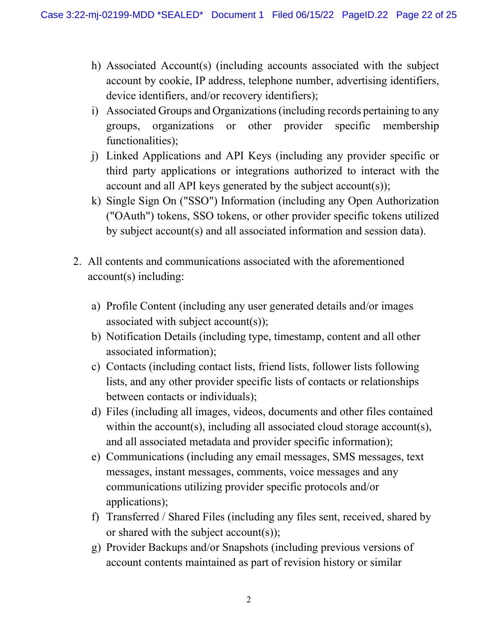- h) Associated Account(s) (including accounts associated with the subject account by cookie, IP address, telephone number, advertising identifiers, device identifiers, and/or recovery identifiers);
- i) Associated Groups and Organizations (including records pertaining to any groups, organizations or other provider specific membership functionalities);
- j) Linked Applications and API Keys (including any provider specific or third party applications or integrations authorized to interact with the account and all API keys generated by the subject account(s));
- k) Single Sign On ("SSO") Information (including any Open Authorization ("OAuth") tokens, SSO tokens, or other provider specific tokens utilized by subject account(s) and all associated information and session data).
- 2. All contents and communications associated with the aforementioned account(s) including:
	- a) Profile Content (including any user generated details and/or images associated with subject account(s));
	- b) Notification Details (including type, timestamp, content and all other associated information);
	- c) Contacts (including contact lists, friend lists, follower lists following lists, and any other provider specific lists of contacts or relationships between contacts or individuals);
	- d) Files (including all images, videos, documents and other files contained within the account(s), including all associated cloud storage account(s), and all associated metadata and provider specific information);
	- e) Communications (including any email messages, SMS messages, text messages, instant messages, comments, voice messages and any communications utilizing provider specific protocols and/or applications);
	- f) Transferred / Shared Files (including any files sent, received, shared by or shared with the subject account(s));
	- g) Provider Backups and/or Snapshots (including previous versions of account contents maintained as part of revision history or similar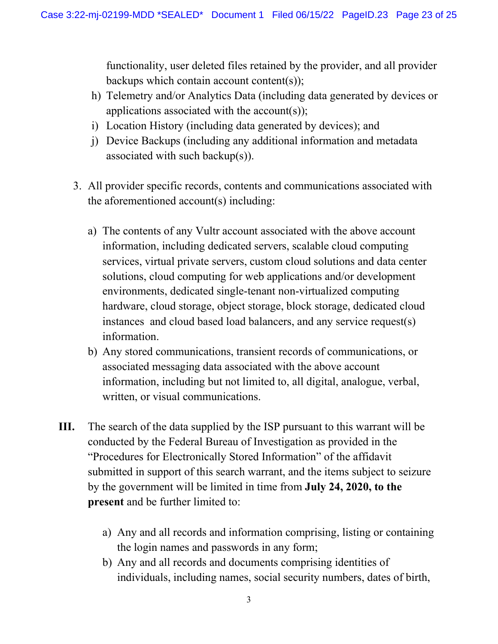functionality, user deleted files retained by the provider, and all provider backups which contain account content(s));

- h) Telemetry and/or Analytics Data (including data generated by devices or applications associated with the account(s));
- i) Location History (including data generated by devices); and
- j) Device Backups (including any additional information and metadata associated with such backup(s)).
- 3. All provider specific records, contents and communications associated with the aforementioned account(s) including:
	- a) The contents of any Vultr account associated with the above account information, including dedicated servers, scalable cloud computing services, virtual private servers, custom cloud solutions and data center solutions, cloud computing for web applications and/or development environments, dedicated single-tenant non-virtualized computing hardware, cloud storage, object storage, block storage, dedicated cloud instances and cloud based load balancers, and any service request(s) information.
	- b) Any stored communications, transient records of communications, or associated messaging data associated with the above account information, including but not limited to, all digital, analogue, verbal, written, or visual communications.
- **III.** The search of the data supplied by the ISP pursuant to this warrant will be conducted by the Federal Bureau of Investigation as provided in the "Procedures for Electronically Stored Information" of the affidavit submitted in support of this search warrant, and the items subject to seizure by the government will be limited in time from **July 24, 2020, to the present** and be further limited to:
	- a) Any and all records and information comprising, listing or containing the login names and passwords in any form;
	- b) Any and all records and documents comprising identities of individuals, including names, social security numbers, dates of birth,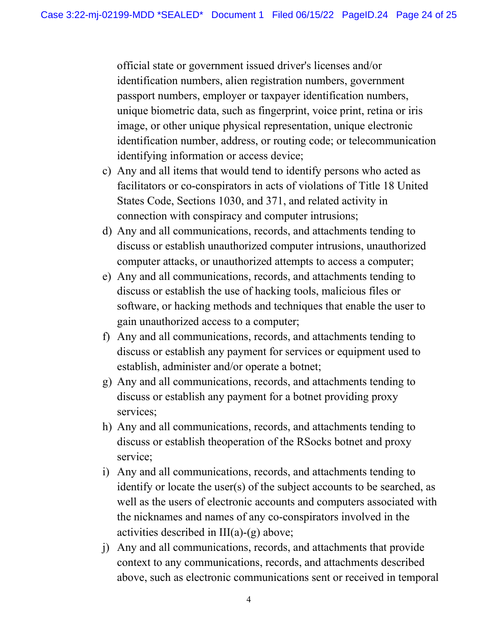official state or government issued driver's licenses and/or identification numbers, alien registration numbers, government passport numbers, employer or taxpayer identification numbers, unique biometric data, such as fingerprint, voice print, retina or iris image, or other unique physical representation, unique electronic identification number, address, or routing code; or telecommunication identifying information or access device;

- c) Any and all items that would tend to identify persons who acted as facilitators or co-conspirators in acts of violations of Title 18 United States Code, Sections 1030, and 371, and related activity in connection with conspiracy and computer intrusions;
- d) Any and all communications, records, and attachments tending to discuss or establish unauthorized computer intrusions, unauthorized computer attacks, or unauthorized attempts to access a computer;
- e) Any and all communications, records, and attachments tending to discuss or establish the use of hacking tools, malicious files or software, or hacking methods and techniques that enable the user to gain unauthorized access to a computer;
- f) Any and all communications, records, and attachments tending to discuss or establish any payment for services or equipment used to establish, administer and/or operate a botnet;
- g) Any and all communications, records, and attachments tending to discuss or establish any payment for a botnet providing proxy services;
- h) Any and all communications, records, and attachments tending to discuss or establish theoperation of the RSocks botnet and proxy service;
- i) Any and all communications, records, and attachments tending to identify or locate the user(s) of the subject accounts to be searched, as well as the users of electronic accounts and computers associated with the nicknames and names of any co-conspirators involved in the activities described in  $III(a)-(g)$  above;
- j) Any and all communications, records, and attachments that provide context to any communications, records, and attachments described above, such as electronic communications sent or received in temporal